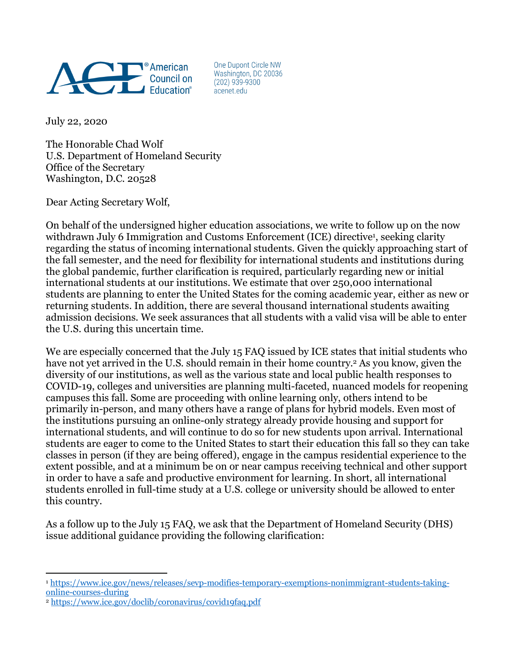

One Dupont Circle NW Washington, DC 20036  $(202)$  939-9300 acenet edu

July 22, 2020

The Honorable Chad Wolf U.S. Department of Homeland Security Office of the Secretary Washington, D.C. 20528

Dear Acting Secretary Wolf,

On behalf of the undersigned higher education associations, we write to follow up on the now withdrawn July 6 Immigration and Customs Enforcement (ICE) directive<sup>1</sup>, seeking clarity regarding the status of incoming international students. Given the quickly approaching start of the fall semester, and the need for flexibility for international students and institutions during the global pandemic, further clarification is required, particularly regarding new or initial international students at our institutions. We estimate that over 250,000 international students are planning to enter the United States for the coming academic year, either as new or returning students. In addition, there are several thousand international students awaiting admission decisions. We seek assurances that all students with a valid visa will be able to enter the U.S. during this uncertain time.

We are especially concerned that the July 15 FAQ issued by ICE states that initial students who have not yet arrived in the U.S. should remain in their home country.<sup>2</sup> As you know, given the diversity of our institutions, as well as the various state and local public health responses to COVID-19, colleges and universities are planning multi-faceted, nuanced models for reopening campuses this fall. Some are proceeding with online learning only, others intend to be primarily in-person, and many others have a range of plans for hybrid models. Even most of the institutions pursuing an online-only strategy already provide housing and support for international students, and will continue to do so for new students upon arrival. International students are eager to come to the United States to start their education this fall so they can take classes in person (if they are being offered), engage in the campus residential experience to the extent possible, and at a minimum be on or near campus receiving technical and other support in order to have a safe and productive environment for learning. In short, all international students enrolled in full-time study at a U.S. college or university should be allowed to enter this country.

As a follow up to the July 15 FAQ, we ask that the Department of Homeland Security (DHS) issue additional guidance providing the following clarification:

 $\overline{a}$ 

<sup>1</sup> https://www.ice.gov/news/releases/sevp-modifies-temporary-exemptions-nonimmigrant-students-takingonline-courses-during

<sup>2</sup> https://www.ice.gov/doclib/coronavirus/covid19faq.pdf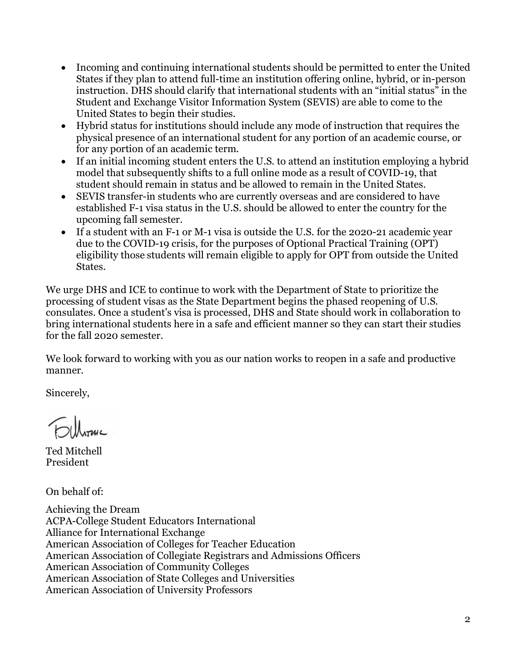- Incoming and continuing international students should be permitted to enter the United States if they plan to attend full-time an institution offering online, hybrid, or in-person instruction. DHS should clarify that international students with an "initial status" in the Student and Exchange Visitor Information System (SEVIS) are able to come to the United States to begin their studies.
- Hybrid status for institutions should include any mode of instruction that requires the physical presence of an international student for any portion of an academic course, or for any portion of an academic term.
- If an initial incoming student enters the U.S. to attend an institution employing a hybrid model that subsequently shifts to a full online mode as a result of COVID-19, that student should remain in status and be allowed to remain in the United States.
- SEVIS transfer-in students who are currently overseas and are considered to have established F-1 visa status in the U.S. should be allowed to enter the country for the upcoming fall semester.
- If a student with an F-1 or M-1 visa is outside the U.S. for the 2020-21 academic year due to the COVID-19 crisis, for the purposes of Optional Practical Training (OPT) eligibility those students will remain eligible to apply for OPT from outside the United States.

We urge DHS and ICE to continue to work with the Department of State to prioritize the processing of student visas as the State Department begins the phased reopening of U.S. consulates. Once a student's visa is processed, DHS and State should work in collaboration to bring international students here in a safe and efficient manner so they can start their studies for the fall 2020 semester.

We look forward to working with you as our nation works to reopen in a safe and productive manner.

Sincerely,

Ted Mitchell President

On behalf of:

Achieving the Dream ACPA-College Student Educators International Alliance for International Exchange American Association of Colleges for Teacher Education American Association of Collegiate Registrars and Admissions Officers American Association of Community Colleges American Association of State Colleges and Universities American Association of University Professors